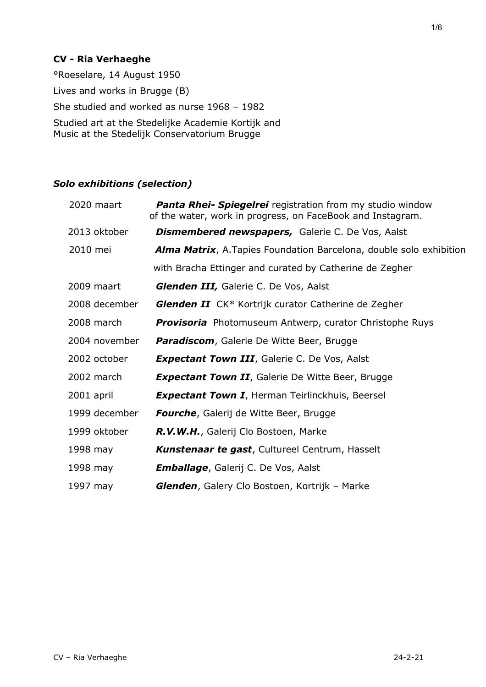## **CV - Ria Verhaeghe**

°Roeselare, 14 August 1950 Lives and works in Brugge (B) She studied and worked as nurse 1968 – 1982 Studied art at the Stedelijke Academie Kortijk and Music at the Stedelijk Conservatorium Brugge

## *Solo exhibitions (selection)*

| 2020 maart    | <b>Panta Rhei- Spiegelrei</b> registration from my studio window<br>of the water, work in progress, on FaceBook and Instagram. |
|---------------|--------------------------------------------------------------------------------------------------------------------------------|
| 2013 oktober  | <b>Dismembered newspapers, Galerie C. De Vos, Aalst</b>                                                                        |
| 2010 mei      | <b>Alma Matrix, A. Tapies Foundation Barcelona, double solo exhibition</b>                                                     |
|               | with Bracha Ettinger and curated by Catherine de Zegher                                                                        |
| 2009 maart    | Glenden III, Galerie C. De Vos, Aalst                                                                                          |
| 2008 december | <b>Glenden II</b> CK* Kortrijk curator Catherine de Zegher                                                                     |
| 2008 march    | <b>Provisoria</b> Photomuseum Antwerp, curator Christophe Ruys                                                                 |
| 2004 november | Paradiscom, Galerie De Witte Beer, Brugge                                                                                      |
| 2002 october  | <b>Expectant Town III</b> , Galerie C. De Vos, Aalst                                                                           |
| 2002 march    | <b>Expectant Town II</b> , Galerie De Witte Beer, Brugge                                                                       |
| 2001 april    | <b>Expectant Town I</b> , Herman Teirlinckhuis, Beersel                                                                        |
| 1999 december | Fourche, Galerij de Witte Beer, Brugge                                                                                         |
| 1999 oktober  | R.V.W.H., Galerij Clo Bostoen, Marke                                                                                           |
| 1998 may      | <b>Kunstenaar te gast, Cultureel Centrum, Hasselt</b>                                                                          |
| 1998 may      | <b>Emballage</b> , Galerij C. De Vos, Aalst                                                                                    |
| 1997 may      | <b>Glenden, Galery Clo Bostoen, Kortrijk - Marke</b>                                                                           |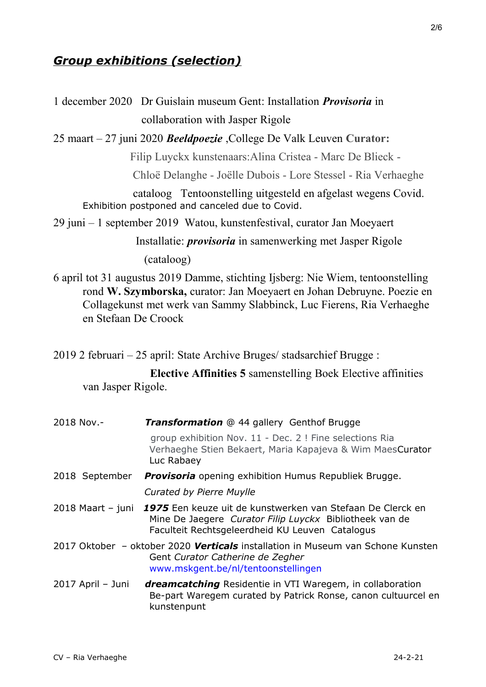# *Group exhibitions (selection)*

1 december 2020 Dr Guislain museum Gent: Installation *Provisoria* in collaboration with Jasper Rigole

25 maart – 27 juni 2020 *Beeldpoezie* ,College De Valk Leuven **Curator:**

Filip Luyckx kunstenaars:Alina Cristea - Marc De Blieck -

Chloë Delanghe - Joëlle Dubois - Lore Stessel - Ria Verhaeghe

 cataloog Tentoonstelling uitgesteld en afgelast wegens Covid. Exhibition postponed and canceled due to Covid.

29 juni – 1 september 2019 Watou, kunstenfestival, curator Jan Moeyaert

 Installatie: *provisoria* in samenwerking met Jasper Rigole (cataloog)

6 april tot 31 augustus 2019 Damme, stichting Ijsberg: Nie Wiem, tentoonstelling rond **W. Szymborska,** curator: Jan Moeyaert en Johan Debruyne. Poezie en Collagekunst met werk van Sammy Slabbinck, Luc Fierens, Ria Verhaeghe en Stefaan De Croock

2019 2 februari – 25 april: State Archive Bruges/ stadsarchief Brugge :

 **Elective Affinities 5** samenstelling Boek Elective affinities van Jasper Rigole.

| 2018 Nov.-        | <b>Transformation</b> @ 44 gallery Genthof Brugge                                                                                                                        |
|-------------------|--------------------------------------------------------------------------------------------------------------------------------------------------------------------------|
|                   | group exhibition Nov. 11 - Dec. 2 ! Fine selections Ria<br>Verhaeghe Stien Bekaert, Maria Kapajeva & Wim MaesCurator<br>Luc Rabaey                                       |
| 2018 September    | <b>Provisoria</b> opening exhibition Humus Republiek Brugge.                                                                                                             |
|                   | Curated by Pierre Muylle                                                                                                                                                 |
| 2018 Maart - juni | 1975 Een keuze uit de kunstwerken van Stefaan De Clerck en<br>Mine De Jaegere Curator Filip Luyckx Bibliotheek van de<br>Faculteit Rechtsgeleerdheid KU Leuven Catalogus |
|                   | 2017 Oktober - oktober 2020 Verticals installation in Museum van Schone Kunsten<br>Gent Curator Catherine de Zegher<br>www.mskgent.be/nl/tentoonstellingen               |
| 2017 April - Juni | <b>dreamcatching</b> Residentie in VTI Waregem, in collaboration<br>Be-part Waregem curated by Patrick Ronse, canon cultuurcel en<br>kunstenpunt                         |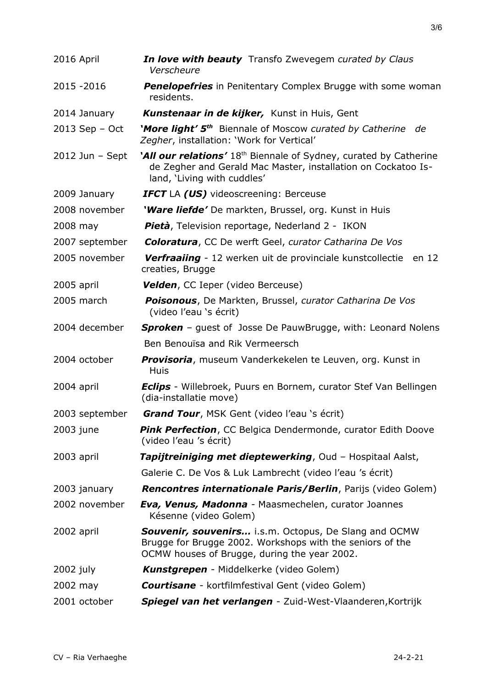| 2016 April        | In love with beauty Transfo Zwevegem curated by Claus<br>Verscheure                                                                                                           |
|-------------------|-------------------------------------------------------------------------------------------------------------------------------------------------------------------------------|
| 2015 - 2016       | <b>Penelopefries</b> in Penitentary Complex Brugge with some woman<br>residents.                                                                                              |
| 2014 January      | <b>Kunstenaar in de kijker,</b> Kunst in Huis, Gent                                                                                                                           |
| $2013$ Sep - Oct  | 'More light' 5 <sup>th</sup> Biennale of Moscow curated by Catherine<br>de<br>Zegher, installation: 'Work for Vertical'                                                       |
| $2012$ Jun - Sept | 'All our relations' 18 <sup>th</sup> Biennale of Sydney, curated by Catherine<br>de Zegher and Gerald Mac Master, installation on Cockatoo Is-<br>land, 'Living with cuddles' |
| 2009 January      | <b>IFCT</b> LA (US) videoscreening: Berceuse                                                                                                                                  |
| 2008 november     | 'Ware liefde' De markten, Brussel, org. Kunst in Huis                                                                                                                         |
| 2008 may          | <b>Pietà</b> , Television reportage, Nederland 2 - IKON                                                                                                                       |
| 2007 september    | <b>Coloratura, CC De werft Geel, curator Catharina De Vos</b>                                                                                                                 |
| 2005 november     | Verfraaiing - 12 werken uit de provinciale kunstcollectie en 12<br>creaties, Brugge                                                                                           |
| 2005 april        | <b>Velden, CC Ieper (video Berceuse)</b>                                                                                                                                      |
| 2005 march        | <b>Poisonous</b> , De Markten, Brussel, curator Catharina De Vos<br>(video l'eau 's écrit)                                                                                    |
| 2004 december     | <b>Sproken</b> - guest of Josse De PauwBrugge, with: Leonard Nolens                                                                                                           |
|                   | Ben Benouïsa and Rik Vermeersch                                                                                                                                               |
| 2004 october      | <b>Provisoria</b> , museum Vanderkekelen te Leuven, org. Kunst in<br>Huis                                                                                                     |
| 2004 april        | <b>Eclips</b> - Willebroek, Puurs en Bornem, curator Stef Van Bellingen<br>(dia-installatie move)                                                                             |
|                   | 2003 september <b>Grand Tour</b> , MSK Gent (video l'eau 's écrit)                                                                                                            |
| 2003 june         | <b>Pink Perfection</b> , CC Belgica Dendermonde, curator Edith Doove<br>(video l'eau 's écrit)                                                                                |
| 2003 april        | <b>Tapijtreiniging met dieptewerking, Oud - Hospitaal Aalst,</b>                                                                                                              |
|                   | Galerie C. De Vos & Luk Lambrecht (video l'eau 's écrit)                                                                                                                      |
| 2003 january      | <b>Rencontres internationale Paris/Berlin, Parijs (video Golem)</b>                                                                                                           |
| 2002 november     | <b>Eva, Venus, Madonna</b> - Maasmechelen, curator Joannes<br>Késenne (video Golem)                                                                                           |
| 2002 april        | <b>Souvenir, souvenirs</b> i.s.m. Octopus, De Slang and OCMW<br>Brugge for Brugge 2002. Workshops with the seniors of the<br>OCMW houses of Brugge, during the year 2002.     |
| 2002 july         | <b>Kunstgrepen</b> - Middelkerke (video Golem)                                                                                                                                |
| 2002 may          | <b>Courtisane</b> - kortfilmfestival Gent (video Golem)                                                                                                                       |
| 2001 october      | Spiegel van het verlangen - Zuid-West-Vlaanderen, Kortrijk                                                                                                                    |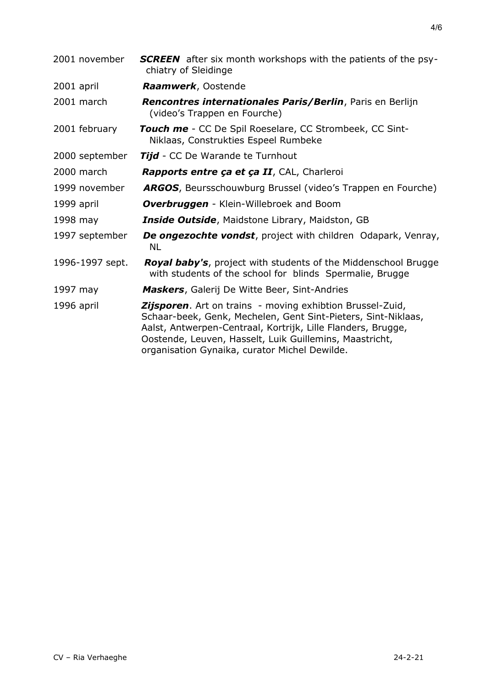| <b>SCREEN</b> after six month workshops with the patients of the psy-<br>chiatry of Sleidinge                                                                                                                                                                                                                 |
|---------------------------------------------------------------------------------------------------------------------------------------------------------------------------------------------------------------------------------------------------------------------------------------------------------------|
| Raamwerk, Oostende                                                                                                                                                                                                                                                                                            |
| Rencontres internationales Paris/Berlin, Paris en Berlijn<br>(video's Trappen en Fourche)                                                                                                                                                                                                                     |
| Touch me - CC De Spil Roeselare, CC Strombeek, CC Sint-<br>Niklaas, Construkties Espeel Rumbeke                                                                                                                                                                                                               |
| <b>Tijd</b> - CC De Warande te Turnhout                                                                                                                                                                                                                                                                       |
| Rapports entre ça et ça II, CAL, Charleroi                                                                                                                                                                                                                                                                    |
| <b>ARGOS</b> , Beursschouwburg Brussel (video's Trappen en Fourche)                                                                                                                                                                                                                                           |
| <b>Overbruggen</b> - Klein-Willebroek and Boom                                                                                                                                                                                                                                                                |
| Inside Outside, Maidstone Library, Maidston, GB                                                                                                                                                                                                                                                               |
| <b>De ongezochte vondst</b> , project with children Odapark, Venray,<br><b>NL</b>                                                                                                                                                                                                                             |
| Royal baby's, project with students of the Middenschool Brugge<br>with students of the school for blinds Spermalie, Brugge                                                                                                                                                                                    |
| <b>Maskers, Galerij De Witte Beer, Sint-Andries</b>                                                                                                                                                                                                                                                           |
| <b>Zijsporen.</b> Art on trains - moving exhibtion Brussel-Zuid,<br>Schaar-beek, Genk, Mechelen, Gent Sint-Pieters, Sint-Niklaas,<br>Aalst, Antwerpen-Centraal, Kortrijk, Lille Flanders, Brugge,<br>Oostende, Leuven, Hasselt, Luik Guillemins, Maastricht,<br>organisation Gynaika, curator Michel Dewilde. |
|                                                                                                                                                                                                                                                                                                               |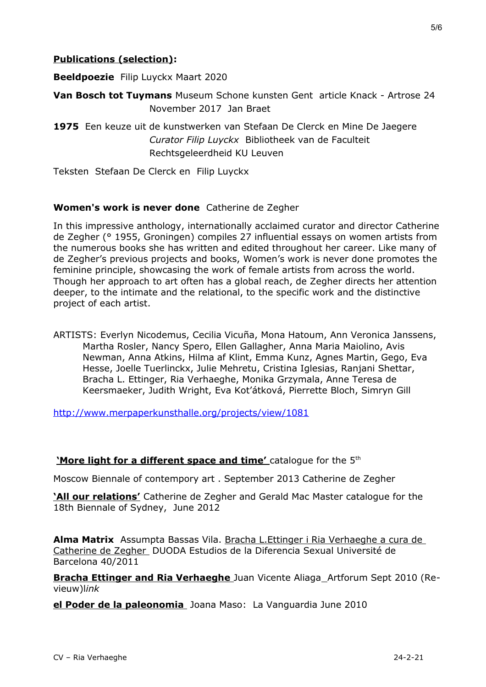## **Publications (selection):**

**Beeldpoezie** Filip Luyckx Maart 2020

**Van Bosch tot Tuymans** Museum Schone kunsten Gent article Knack - Artrose 24 November 2017 Jan Braet

**1975** Een keuze uit de kunstwerken van Stefaan De Clerck en Mine De Jaegere *Curator Filip Luyckx* Bibliotheek van de Faculteit Rechtsgeleerdheid KU Leuven

Teksten Stefaan De Clerck en Filip Luyckx

#### **Women's work is never done** Catherine de Zegher

In this impressive anthology, internationally acclaimed curator and director Catherine de Zegher (° 1955, Groningen) compiles 27 influential essays on women artists from the numerous books she has written and edited throughout her career. Like many of de Zegher's previous projects and books, Women's work is never done promotes the feminine principle, showcasing the work of female artists from across the world. Though her approach to art often has a global reach, de Zegher directs her attention deeper, to the intimate and the relational, to the specific work and the distinctive project of each artist.

ARTISTS: Everlyn Nicodemus, Cecilia Vicuña, Mona Hatoum, Ann Veronica Janssens, Martha Rosler, Nancy Spero, Ellen Gallagher, Anna Maria Maiolino, Avis Newman, Anna Atkins, Hilma af Klint, Emma Kunz, Agnes Martin, Gego, Eva Hesse, Joelle Tuerlinckx, Julie Mehretu, Cristina Iglesias, Ranjani Shettar, Bracha L. Ettinger, Ria Verhaeghe, Monika Grzymala, Anne Teresa de Keersmaeker, Judith Wright, Eva Kot'átková, Pierrette Bloch, Simryn Gill

<http://www.merpaperkunsthalle.org/projects/view/1081>

**'More light for a different space and time'** catalogue for the 5<sup>th</sup>

Moscow Biennale of contempory art . September 2013 Catherine de Zegher

**'All our relations'** Catherine de Zegher and Gerald Mac Master catalogue for the 18th Biennale of Sydney, June 2012

**Alma Matrix** Assumpta Bassas Vila. Bracha L.Ettinger i Ria Verhaeghe a cura de Catherine de Zegher DUODA Estudios de la Diferencia Sexual Université de Barcelona 40/2011

**Bracha Ettinger and Ria Verhaeghe** Juan Vicente AliagaArtforum Sept 2010 (Revieuw)l*ink*

**el Poder de la paleonomia** Joana Maso: La Vanguardia June 2010